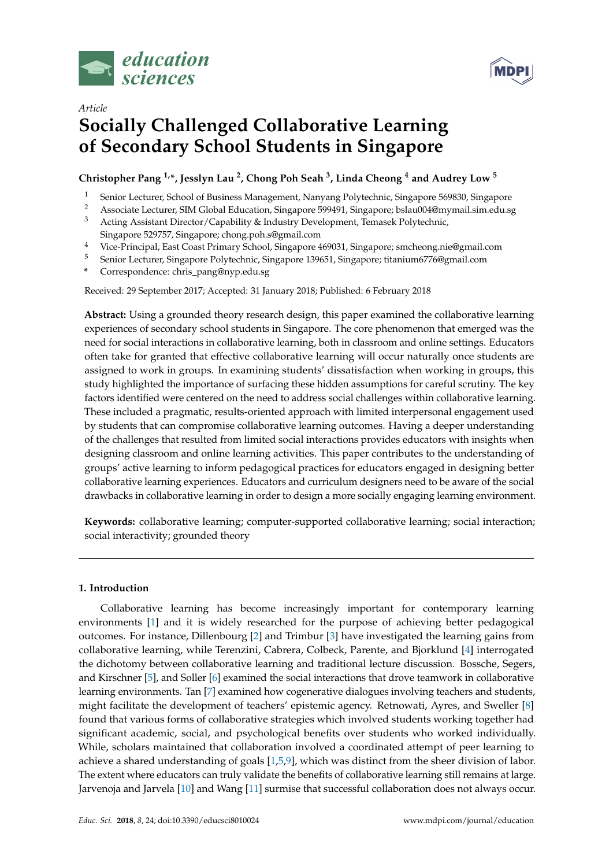



# *Article* **Socially Challenged Collaborative Learning of Secondary School Students in Singapore**

# **Christopher Pang 1,\*, Jesslyn Lau <sup>2</sup> , Chong Poh Seah <sup>3</sup> , Linda Cheong <sup>4</sup> and Audrey Low <sup>5</sup>**

- <sup>1</sup> Senior Lecturer, School of Business Management, Nanyang Polytechnic, Singapore 569830, Singapore<br><sup>2</sup> Associate Lecturer, SIM Clabel Education, Singapore 500401, Singapore belau004@mumail.cim.edu.e
- <sup>2</sup> Associate Lecturer, SIM Global Education, Singapore 599491, Singapore; bslau004@mymail.sim.edu.sg<br><sup>3</sup> Acting Assistant Director (Canability & Industry Davelopment, Temasek Polytechnic
- <sup>3</sup> Acting Assistant Director/Capability & Industry Development, Temasek Polytechnic, Singapore 529757, Singapore; chong.poh.s@gmail.com
- <sup>4</sup> Vice-Principal, East Coast Primary School, Singapore 469031, Singapore; smcheong.nie@gmail.com
- <sup>5</sup> Senior Lecturer, Singapore Polytechnic, Singapore 139651, Singapore; titanium6776@gmail.com
- **\*** Correspondence: chris\_pang@nyp.edu.sg

Received: 29 September 2017; Accepted: 31 January 2018; Published: 6 February 2018

**Abstract:** Using a grounded theory research design, this paper examined the collaborative learning experiences of secondary school students in Singapore. The core phenomenon that emerged was the need for social interactions in collaborative learning, both in classroom and online settings. Educators often take for granted that effective collaborative learning will occur naturally once students are assigned to work in groups. In examining students' dissatisfaction when working in groups, this study highlighted the importance of surfacing these hidden assumptions for careful scrutiny. The key factors identified were centered on the need to address social challenges within collaborative learning. These included a pragmatic, results-oriented approach with limited interpersonal engagement used by students that can compromise collaborative learning outcomes. Having a deeper understanding of the challenges that resulted from limited social interactions provides educators with insights when designing classroom and online learning activities. This paper contributes to the understanding of groups' active learning to inform pedagogical practices for educators engaged in designing better collaborative learning experiences. Educators and curriculum designers need to be aware of the social drawbacks in collaborative learning in order to design a more socially engaging learning environment.

**Keywords:** collaborative learning; computer-supported collaborative learning; social interaction; social interactivity; grounded theory

## **1. Introduction**

Collaborative learning has become increasingly important for contemporary learning environments [\[1\]](#page-8-0) and it is widely researched for the purpose of achieving better pedagogical outcomes. For instance, Dillenbourg [\[2\]](#page-8-1) and Trimbur [\[3\]](#page-8-2) have investigated the learning gains from collaborative learning, while Terenzini, Cabrera, Colbeck, Parente, and Bjorklund [\[4\]](#page-8-3) interrogated the dichotomy between collaborative learning and traditional lecture discussion. Bossche, Segers, and Kirschner [\[5\]](#page-8-4), and Soller [\[6\]](#page-8-5) examined the social interactions that drove teamwork in collaborative learning environments. Tan [\[7\]](#page-8-6) examined how cogenerative dialogues involving teachers and students, might facilitate the development of teachers' epistemic agency. Retnowati, Ayres, and Sweller [\[8\]](#page-8-7) found that various forms of collaborative strategies which involved students working together had significant academic, social, and psychological benefits over students who worked individually. While, scholars maintained that collaboration involved a coordinated attempt of peer learning to achieve a shared understanding of goals [\[1](#page-8-0)[,5](#page-8-4)[,9\]](#page-8-8), which was distinct from the sheer division of labor. The extent where educators can truly validate the benefits of collaborative learning still remains at large. Jarvenoja and Jarvela [\[10\]](#page-8-9) and Wang [\[11\]](#page-8-10) surmise that successful collaboration does not always occur.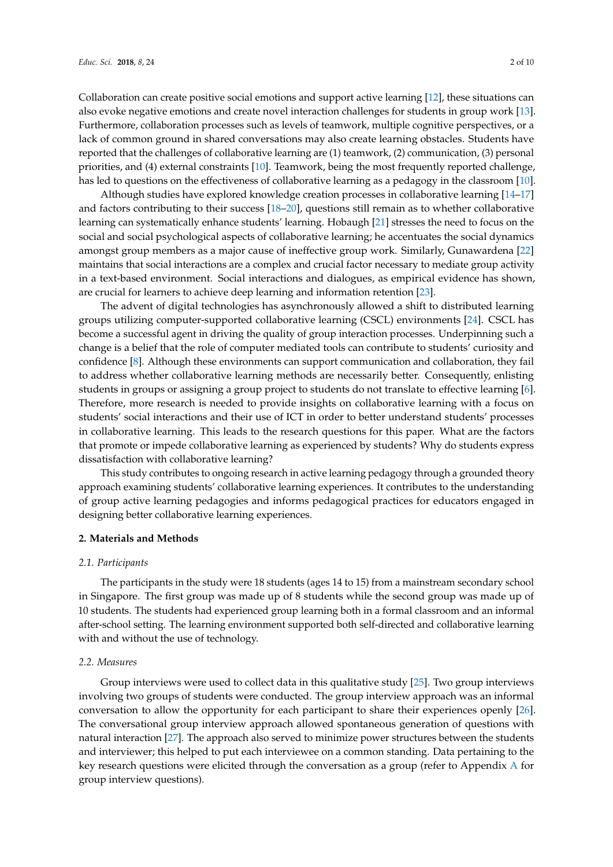Collaboration can create positive social emotions and support active learning [\[12\]](#page-8-11), these situations can also evoke negative emotions and create novel interaction challenges for students in group work [\[13\]](#page-8-12). Furthermore, collaboration processes such as levels of teamwork, multiple cognitive perspectives, or a lack of common ground in shared conversations may also create learning obstacles. Students have reported that the challenges of collaborative learning are (1) teamwork, (2) communication, (3) personal priorities, and (4) external constraints [\[10\]](#page-8-9). Teamwork, being the most frequently reported challenge, has led to questions on the effectiveness of collaborative learning as a pedagogy in the classroom [\[10\]](#page-8-9).

Although studies have explored knowledge creation processes in collaborative learning [\[14](#page-8-13)[–17\]](#page-8-14) and factors contributing to their success [\[18–](#page-8-15)[20\]](#page-8-16), questions still remain as to whether collaborative learning can systematically enhance students' learning. Hobaugh [\[21\]](#page-8-17) stresses the need to focus on the social and social psychological aspects of collaborative learning; he accentuates the social dynamics amongst group members as a major cause of ineffective group work. Similarly, Gunawardena [\[22\]](#page-8-18) maintains that social interactions are a complex and crucial factor necessary to mediate group activity in a text-based environment. Social interactions and dialogues, as empirical evidence has shown, are crucial for learners to achieve deep learning and information retention [\[23\]](#page-8-19).

The advent of digital technologies has asynchronously allowed a shift to distributed learning groups utilizing computer-supported collaborative learning (CSCL) environments [\[24\]](#page-8-20). CSCL has become a successful agent in driving the quality of group interaction processes. Underpinning such a change is a belief that the role of computer mediated tools can contribute to students' curiosity and confidence [\[8\]](#page-8-7). Although these environments can support communication and collaboration, they fail to address whether collaborative learning methods are necessarily better. Consequently, enlisting students in groups or assigning a group project to students do not translate to effective learning [\[6\]](#page-8-5). Therefore, more research is needed to provide insights on collaborative learning with a focus on students' social interactions and their use of ICT in order to better understand students' processes in collaborative learning. This leads to the research questions for this paper. What are the factors that promote or impede collaborative learning as experienced by students? Why do students express dissatisfaction with collaborative learning?

This study contributes to ongoing research in active learning pedagogy through a grounded theory approach examining students' collaborative learning experiences. It contributes to the understanding of group active learning pedagogies and informs pedagogical practices for educators engaged in designing better collaborative learning experiences.

### **2. Materials and Methods**

#### *2.1. Participants*

The participants in the study were 18 students (ages 14 to 15) from a mainstream secondary school in Singapore. The first group was made up of 8 students while the second group was made up of 10 students. The students had experienced group learning both in a formal classroom and an informal after-school setting. The learning environment supported both self-directed and collaborative learning with and without the use of technology.

#### *2.2. Measures*

Group interviews were used to collect data in this qualitative study [\[25\]](#page-9-0). Two group interviews involving two groups of students were conducted. The group interview approach was an informal conversation to allow the opportunity for each participant to share their experiences openly [\[26\]](#page-9-1). The conversational group interview approach allowed spontaneous generation of questions with natural interaction [\[27\]](#page-9-2). The approach also served to minimize power structures between the students and interviewer; this helped to put each interviewee on a common standing. Data pertaining to the key research questions were elicited through the conversation as a group (refer to Appendix [A](#page-6-0) for group interview questions).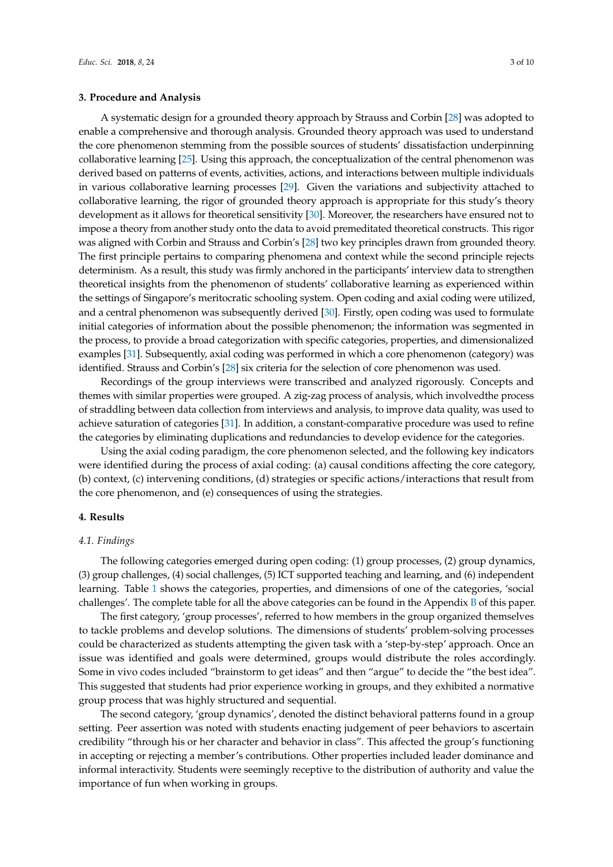### **3. Procedure and Analysis**

A systematic design for a grounded theory approach by Strauss and Corbin [\[28\]](#page-9-3) was adopted to enable a comprehensive and thorough analysis. Grounded theory approach was used to understand the core phenomenon stemming from the possible sources of students' dissatisfaction underpinning collaborative learning [\[25\]](#page-9-0). Using this approach, the conceptualization of the central phenomenon was derived based on patterns of events, activities, actions, and interactions between multiple individuals in various collaborative learning processes [\[29\]](#page-9-4). Given the variations and subjectivity attached to collaborative learning, the rigor of grounded theory approach is appropriate for this study's theory development as it allows for theoretical sensitivity [\[30\]](#page-9-5). Moreover, the researchers have ensured not to impose a theory from another study onto the data to avoid premeditated theoretical constructs. This rigor was aligned with Corbin and Strauss and Corbin's [\[28\]](#page-9-3) two key principles drawn from grounded theory. The first principle pertains to comparing phenomena and context while the second principle rejects determinism. As a result, this study was firmly anchored in the participants' interview data to strengthen theoretical insights from the phenomenon of students' collaborative learning as experienced within the settings of Singapore's meritocratic schooling system. Open coding and axial coding were utilized, and a central phenomenon was subsequently derived [\[30\]](#page-9-5). Firstly, open coding was used to formulate initial categories of information about the possible phenomenon; the information was segmented in the process, to provide a broad categorization with specific categories, properties, and dimensionalized examples [\[31\]](#page-9-6). Subsequently, axial coding was performed in which a core phenomenon (category) was identified. Strauss and Corbin's [\[28\]](#page-9-3) six criteria for the selection of core phenomenon was used.

Recordings of the group interviews were transcribed and analyzed rigorously. Concepts and themes with similar properties were grouped. A zig-zag process of analysis, which involvedthe process of straddling between data collection from interviews and analysis, to improve data quality, was used to achieve saturation of categories [\[31\]](#page-9-6). In addition, a constant-comparative procedure was used to refine the categories by eliminating duplications and redundancies to develop evidence for the categories.

Using the axial coding paradigm, the core phenomenon selected, and the following key indicators were identified during the process of axial coding: (a) causal conditions affecting the core category, (b) context, (c) intervening conditions, (d) strategies or specific actions/interactions that result from the core phenomenon, and (e) consequences of using the strategies.

### **4. Results**

### *4.1. Findings*

The following categories emerged during open coding: (1) group processes, (2) group dynamics, (3) group challenges, (4) social challenges, (5) ICT supported teaching and learning, and (6) independent learning. Table [1](#page-3-0) shows the categories, properties, and dimensions of one of the categories, 'social challenges'. The complete table for all the above categories can be found in the Appendix [B](#page-6-1) of this paper.

The first category, 'group processes', referred to how members in the group organized themselves to tackle problems and develop solutions. The dimensions of students' problem-solving processes could be characterized as students attempting the given task with a 'step-by-step' approach. Once an issue was identified and goals were determined, groups would distribute the roles accordingly. Some in vivo codes included "brainstorm to get ideas" and then "argue" to decide the "the best idea". This suggested that students had prior experience working in groups, and they exhibited a normative group process that was highly structured and sequential.

The second category, 'group dynamics', denoted the distinct behavioral patterns found in a group setting. Peer assertion was noted with students enacting judgement of peer behaviors to ascertain credibility "through his or her character and behavior in class". This affected the group's functioning in accepting or rejecting a member's contributions. Other properties included leader dominance and informal interactivity. Students were seemingly receptive to the distribution of authority and value the importance of fun when working in groups.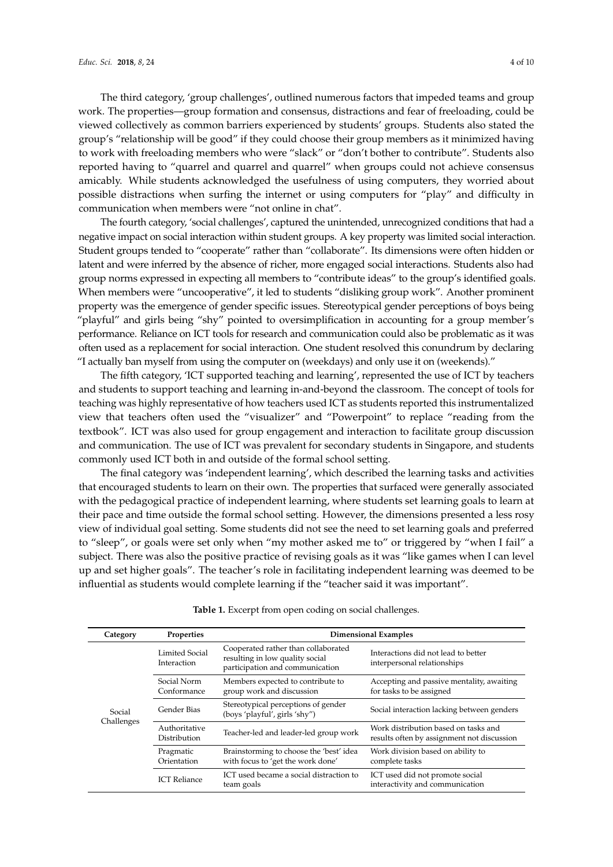The third category, 'group challenges', outlined numerous factors that impeded teams and group work. The properties—group formation and consensus, distractions and fear of freeloading, could be viewed collectively as common barriers experienced by students' groups. Students also stated the group's "relationship will be good" if they could choose their group members as it minimized having to work with freeloading members who were "slack" or "don't bother to contribute". Students also reported having to "quarrel and quarrel and quarrel" when groups could not achieve consensus amicably. While students acknowledged the usefulness of using computers, they worried about possible distractions when surfing the internet or using computers for "play" and difficulty in communication when members were "not online in chat".

The fourth category, 'social challenges', captured the unintended, unrecognized conditions that had a negative impact on social interaction within student groups. A key property was limited social interaction. Student groups tended to "cooperate" rather than "collaborate". Its dimensions were often hidden or latent and were inferred by the absence of richer, more engaged social interactions. Students also had group norms expressed in expecting all members to "contribute ideas" to the group's identified goals. When members were "uncooperative", it led to students "disliking group work". Another prominent property was the emergence of gender specific issues. Stereotypical gender perceptions of boys being "playful" and girls being "shy" pointed to oversimplification in accounting for a group member's performance. Reliance on ICT tools for research and communication could also be problematic as it was often used as a replacement for social interaction. One student resolved this conundrum by declaring "I actually ban myself from using the computer on (weekdays) and only use it on (weekends)."

The fifth category, 'ICT supported teaching and learning', represented the use of ICT by teachers and students to support teaching and learning in-and-beyond the classroom. The concept of tools for teaching was highly representative of how teachers used ICT as students reported this instrumentalized view that teachers often used the "visualizer" and "Powerpoint" to replace "reading from the textbook". ICT was also used for group engagement and interaction to facilitate group discussion and communication. The use of ICT was prevalent for secondary students in Singapore, and students commonly used ICT both in and outside of the formal school setting.

The final category was 'independent learning', which described the learning tasks and activities that encouraged students to learn on their own. The properties that surfaced were generally associated with the pedagogical practice of independent learning, where students set learning goals to learn at their pace and time outside the formal school setting. However, the dimensions presented a less rosy view of individual goal setting. Some students did not see the need to set learning goals and preferred to "sleep", or goals were set only when "my mother asked me to" or triggered by "when I fail" a subject. There was also the positive practice of revising goals as it was "like games when I can level up and set higher goals". The teacher's role in facilitating independent learning was deemed to be influential as students would complete learning if the "teacher said it was important".

<span id="page-3-0"></span>

| Category             | <b>Properties</b>                    | <b>Dimensional Examples</b>                                                                                                         |                                                                                    |  |
|----------------------|--------------------------------------|-------------------------------------------------------------------------------------------------------------------------------------|------------------------------------------------------------------------------------|--|
|                      | Limited Social<br>Interaction        | Cooperated rather than collaborated<br>resulting in low quality social<br>participation and communication                           | Interactions did not lead to better<br>interpersonal relationships                 |  |
|                      | Social Norm<br>Conformance           | Members expected to contribute to<br>group work and discussion                                                                      | Accepting and passive mentality, awaiting<br>for tasks to be assigned              |  |
| Social<br>Challenges | <b>Gender Bias</b>                   | Stereotypical perceptions of gender<br>(boys 'playful', girls 'shy")                                                                | Social interaction lacking between genders                                         |  |
|                      | Authoritative<br><b>Distribution</b> | Teacher-led and leader-led group work                                                                                               | Work distribution based on tasks and<br>results often by assignment not discussion |  |
|                      | Pragmatic<br>Orientation             | Work division based on ability to<br>Brainstorming to choose the 'best' idea<br>with focus to 'get the work done'<br>complete tasks |                                                                                    |  |
|                      | <b>ICT</b> Reliance                  | ICT used became a social distraction to<br>team goals                                                                               | ICT used did not promote social<br>interactivity and communication                 |  |

**Table 1.** Excerpt from open coding on social challenges.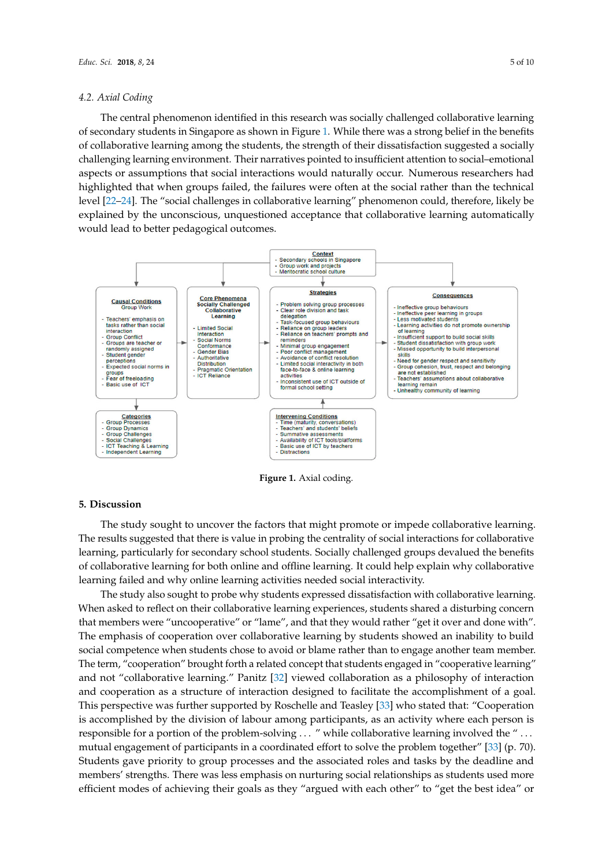# *4.2. Axial Coding 4.2. Axial Coding*

The central phenomenon identified in this research was socially challenged collaborative learning The central phenomenon identified in this research was socially challenged collaborative of secondary students in Singapore as shown in Figure [1.](#page-4-0) While there was a strong belief in the benefits of collaboration of the strength of the strength of the strength of the strength of the strength of the strength of t of collaborative learning among the students, the strength of their dissatisfaction suggested a socially insufficient and the insufficient of the insufficient of the insufficient of the insufficient of the insufficient of challenging learning environment. Their narratives pointed to insufficient attention to social–emotional challenging interactions would naturally or aspects of the challenging of the challenging of the challenging of the c aspects or assumptions that social interactions would naturally occur. Numerous researchers had  $h_{\text{rel}}$  that when groups failures failures were often at the social interactions were often at the social interactions were highlighted that when groups failed, the failures were often at the social rather than the technical level [\[22–](#page-8-18)[24\]](#page-8-20). The "social challenges in collaborative learning" phenomenon could, therefore, likely be rather than the technical level [22–24]. The "social challenges in collaborative learning" phenomenon explained by the unconscious, unquestioned acceptance that collaborative learning automatically would lead to better pedagogical outcomes. learning of secondary students in Singapore as shown in Singapore as shown in Figure 1. While the was a strong belief in Figure 1. While the strong belief in the strong belief in the strong belief in the strong belief in t could find the social chancels in constructive reality procession, unconstructioned acceptance that collaborative that collaborative that collaborative that collaborative that collaborative that collaborative that collabor

<span id="page-4-0"></span>

**Figure 1.** Axial coding. **Figure 1.** Axial coding.

# **5. Discussion 5. Discussion**

The study sought to uncover the factors that might promote or impede collaborative learning. The results suggested that there is value in probing the centrality of social interactions for collaborative The results suggested that there is value in probing the centrality of social interactions for the latter of the learning, particularly for secondary school students. Socially challenged groups devalued the benefits of the benefits of collaborative learning for both online and offline learning. It could help explain why collaborative learning for both online and offline learning. It could help explain why collaborative The study sought to uncover the factors that might promote or impede collaborative learning. learning failed and why online learning activities needed social interactivity.

rearning failed and why online fearning activities needed social interactivity.<br>The study also sought to probe why students expressed dissatisfaction with collaborative learning. Interactivity also sedgen to prose *may* stations expressed also<br>the masked to reflect on their collaborative learning experiences, students shared a disturbing concern The study also sought to probe why students expressed dissatisfaction with collaborative that members were "uncooperative" or "lame", and that they would rather "get it over and done with". The emphasis of cooperation over collaborative learning by students showed an inability to build social competence when students chose to avoid or blame rather than to engage another team member.  $\sum_{i=1}^{n}$  is one with  $\sum_{i=1}^{n}$  . The emphasis of cooperation over collaboration over completely learning by studies showed by studies and  $\sum_{i=1}^{n}$ The term, "cooperation" brought forth a related concept that students engaged in "cooperative learning"<br>The term, "cooperation" brought forth a related concept that students engaged in "cooperative learning" and not conductance relating. The term is conductation as a principle of interaction and cooperation as a structure of interaction designed to facilitate the accomplishment of a goal. and cooperation as a structure of interaction designed to alemate the accomplishment of a goal.<br>This perspective was further supported by Roschelle and Teasley [\[33\]](#page-9-8) who stated that: "Cooperation is accomplished by the division of labour among participants, as an activity where each person is responsible for a portion of the problem-solving  $\ldots$  " while collaborative learning involved the "... and not "collaborative learning." Panitz [\[32\]](#page-9-7) viewed collaboration as a philosophy of interaction mutual engagement of participants in a coordinated effort to solve the problem together" [\[33\]](#page-9-8) (p. 70). Students gave priority to group processes and the associated roles and tasks by the deadline and members' strengths. There was less emphasis on nurturing social relationships as students used more efficient modes of achieving their goals as they "argued with each other" to "get the best idea" or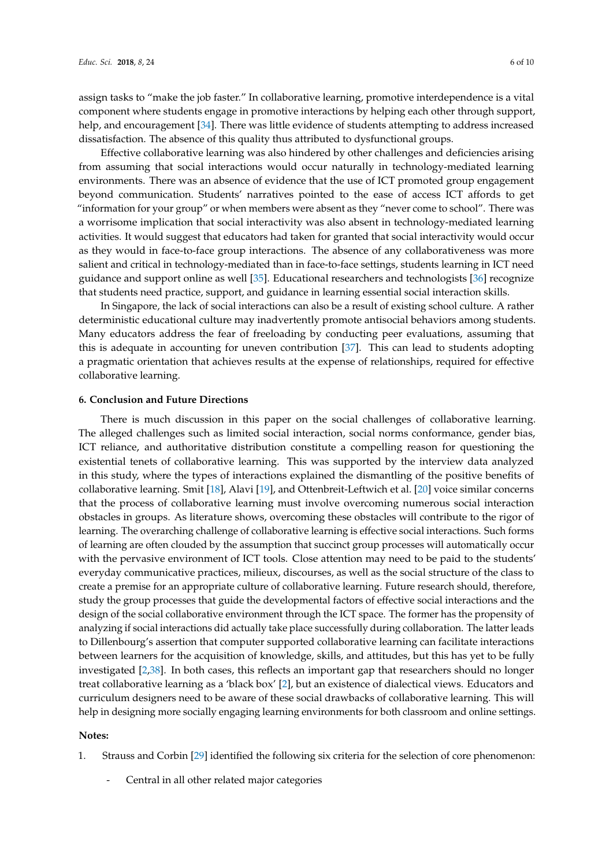assign tasks to "make the job faster." In collaborative learning, promotive interdependence is a vital component where students engage in promotive interactions by helping each other through support, help, and encouragement [\[34\]](#page-9-9). There was little evidence of students attempting to address increased dissatisfaction. The absence of this quality thus attributed to dysfunctional groups.

Effective collaborative learning was also hindered by other challenges and deficiencies arising from assuming that social interactions would occur naturally in technology-mediated learning environments. There was an absence of evidence that the use of ICT promoted group engagement beyond communication. Students' narratives pointed to the ease of access ICT affords to get "information for your group" or when members were absent as they "never come to school". There was a worrisome implication that social interactivity was also absent in technology-mediated learning activities. It would suggest that educators had taken for granted that social interactivity would occur as they would in face-to-face group interactions. The absence of any collaborativeness was more salient and critical in technology-mediated than in face-to-face settings, students learning in ICT need guidance and support online as well [\[35\]](#page-9-10). Educational researchers and technologists [\[36\]](#page-9-11) recognize that students need practice, support, and guidance in learning essential social interaction skills.

In Singapore, the lack of social interactions can also be a result of existing school culture. A rather deterministic educational culture may inadvertently promote antisocial behaviors among students. Many educators address the fear of freeloading by conducting peer evaluations, assuming that this is adequate in accounting for uneven contribution [\[37\]](#page-9-12). This can lead to students adopting a pragmatic orientation that achieves results at the expense of relationships, required for effective collaborative learning.

### **6. Conclusion and Future Directions**

There is much discussion in this paper on the social challenges of collaborative learning. The alleged challenges such as limited social interaction, social norms conformance, gender bias, ICT reliance, and authoritative distribution constitute a compelling reason for questioning the existential tenets of collaborative learning. This was supported by the interview data analyzed in this study, where the types of interactions explained the dismantling of the positive benefits of collaborative learning. Smit [\[18\]](#page-8-15), Alavi [\[19\]](#page-8-21), and Ottenbreit-Leftwich et al. [\[20\]](#page-8-16) voice similar concerns that the process of collaborative learning must involve overcoming numerous social interaction obstacles in groups. As literature shows, overcoming these obstacles will contribute to the rigor of learning. The overarching challenge of collaborative learning is effective social interactions. Such forms of learning are often clouded by the assumption that succinct group processes will automatically occur with the pervasive environment of ICT tools. Close attention may need to be paid to the students' everyday communicative practices, milieux, discourses, as well as the social structure of the class to create a premise for an appropriate culture of collaborative learning. Future research should, therefore, study the group processes that guide the developmental factors of effective social interactions and the design of the social collaborative environment through the ICT space. The former has the propensity of analyzing if social interactions did actually take place successfully during collaboration. The latter leads to Dillenbourg's assertion that computer supported collaborative learning can facilitate interactions between learners for the acquisition of knowledge, skills, and attitudes, but this has yet to be fully investigated [\[2,](#page-8-1)[38\]](#page-9-13). In both cases, this reflects an important gap that researchers should no longer treat collaborative learning as a 'black box' [\[2\]](#page-8-1), but an existence of dialectical views. Educators and curriculum designers need to be aware of these social drawbacks of collaborative learning. This will help in designing more socially engaging learning environments for both classroom and online settings.

#### **Notes:**

- 1. Strauss and Corbin [\[29\]](#page-9-4) identified the following six criteria for the selection of core phenomenon:
	- Central in all other related major categories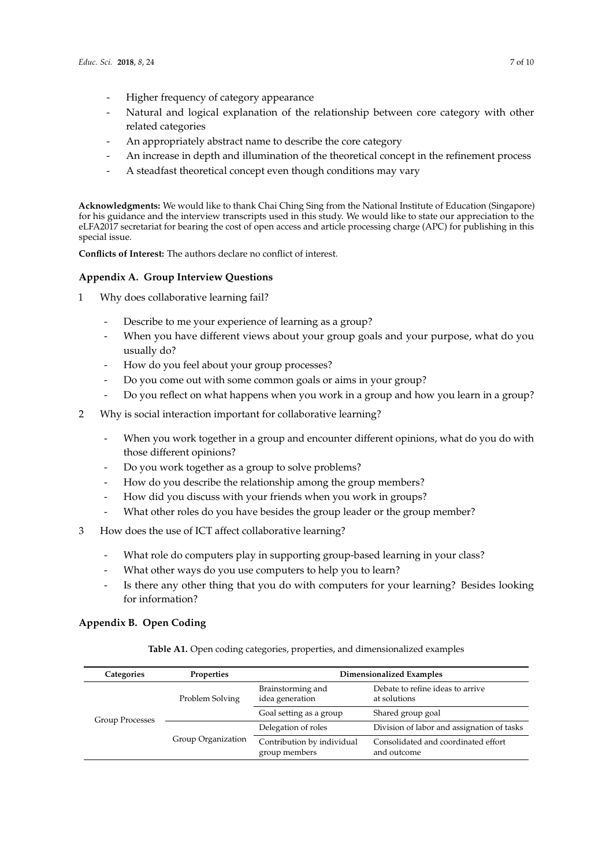- Higher frequency of category appearance
- Natural and logical explanation of the relationship between core category with other related categories
- An appropriately abstract name to describe the core category
- An increase in depth and illumination of the theoretical concept in the refinement process
- A steadfast theoretical concept even though conditions may vary

**Acknowledgments:** We would like to thank Chai Ching Sing from the National Institute of Education (Singapore) for his guidance and the interview transcripts used in this study. We would like to state our appreciation to the eLFA2017 secretariat for bearing the cost of open access and article processing charge (APC) for publishing in this special issue.

**Conflicts of Interest:** The authors declare no conflict of interest.

## <span id="page-6-0"></span>**Appendix A. Group Interview Questions**

- 1 Why does collaborative learning fail?
	- Describe to me your experience of learning as a group?
	- When you have different views about your group goals and your purpose, what do you usually do?
	- How do you feel about your group processes?
	- Do you come out with some common goals or aims in your group?
	- Do you reflect on what happens when you work in a group and how you learn in a group?
- 2 Why is social interaction important for collaborative learning?
	- When you work together in a group and encounter different opinions, what do you do with those different opinions?
	- Do you work together as a group to solve problems?
	- How do you describe the relationship among the group members?
	- How did you discuss with your friends when you work in groups?
	- What other roles do you have besides the group leader or the group member?
- 3 How does the use of ICT affect collaborative learning?
	- What role do computers play in supporting group-based learning in your class?
	- What other ways do you use computers to help you to learn?
	- Is there any other thing that you do with computers for your learning? Besides looking for information?

# <span id="page-6-1"></span>**Appendix B. Open Coding**

| Categories             | <b>Properties</b>  | Dimensionalized Examples                    |                                                    |  |
|------------------------|--------------------|---------------------------------------------|----------------------------------------------------|--|
|                        | Problem Solving    | Brainstorming and<br>idea generation        | Debate to refine ideas to arrive<br>at solutions   |  |
| <b>Group Processes</b> |                    | Goal setting as a group                     | Shared group goal                                  |  |
|                        |                    | Delegation of roles                         | Division of labor and assignation of tasks         |  |
|                        | Group Organization | Contribution by individual<br>group members | Consolidated and coordinated effort<br>and outcome |  |

**Table A1.** Open coding categories, properties, and dimensionalized examples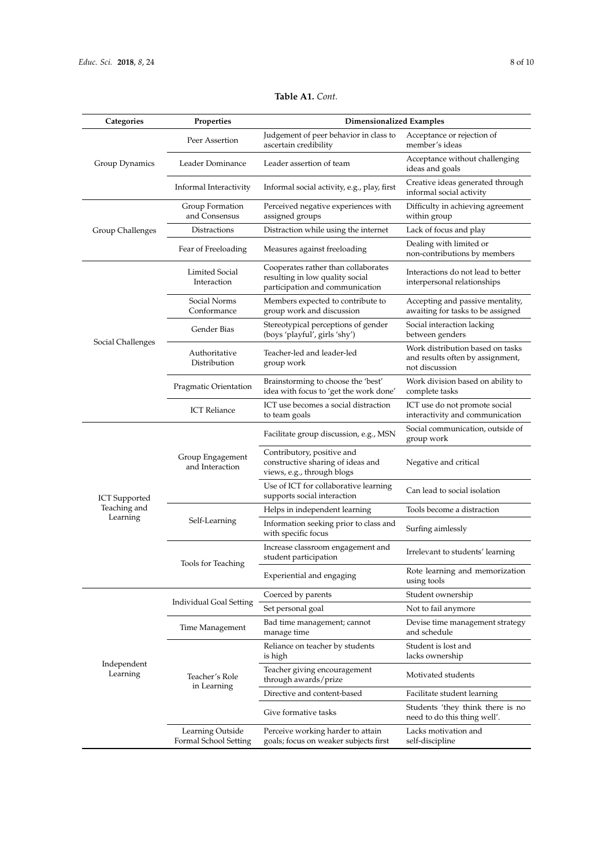| Categories              | Properties                                | <b>Dimensionalized Examples</b>                                                                           |                                                                                        |  |
|-------------------------|-------------------------------------------|-----------------------------------------------------------------------------------------------------------|----------------------------------------------------------------------------------------|--|
|                         | Peer Assertion                            | Judgement of peer behavior in class to<br>ascertain credibility                                           | Acceptance or rejection of<br>member's ideas                                           |  |
| Group Dynamics          | Leader Dominance                          | Leader assertion of team                                                                                  | Acceptance without challenging<br>ideas and goals                                      |  |
|                         | Informal Interactivity                    | Informal social activity, e.g., play, first                                                               | Creative ideas generated through<br>informal social activity                           |  |
|                         | Group Formation<br>and Consensus          | Perceived negative experiences with<br>assigned groups                                                    | Difficulty in achieving agreement<br>within group                                      |  |
| Group Challenges        | Distractions                              | Distraction while using the internet                                                                      | Lack of focus and play                                                                 |  |
|                         | Fear of Freeloading                       | Measures against freeloading                                                                              | Dealing with limited or<br>non-contributions by members                                |  |
|                         | Limited Social<br>Interaction             | Cooperates rather than collaborates<br>resulting in low quality social<br>participation and communication | Interactions do not lead to better<br>interpersonal relationships                      |  |
|                         | Social Norms<br>Conformance               | Members expected to contribute to<br>group work and discussion                                            | Accepting and passive mentality,<br>awaiting for tasks to be assigned                  |  |
|                         | Gender Bias                               | Stereotypical perceptions of gender<br>(boys 'playful', girls 'shy')                                      | Social interaction lacking<br>between genders                                          |  |
| Social Challenges       | Authoritative<br>Distribution             | Teacher-led and leader-led<br>group work                                                                  | Work distribution based on tasks<br>and results often by assignment,<br>not discussion |  |
|                         | Pragmatic Orientation                     | Brainstorming to choose the 'best'<br>idea with focus to 'get the work done'                              | Work division based on ability to<br>complete tasks                                    |  |
|                         | <b>ICT</b> Reliance                       | ICT use becomes a social distraction<br>to team goals                                                     | ICT use do not promote social<br>interactivity and communication                       |  |
|                         | Group Engagement<br>and Interaction       | Facilitate group discussion, e.g., MSN                                                                    | Social communication, outside of<br>group work                                         |  |
|                         |                                           | Contributory, positive and<br>constructive sharing of ideas and<br>views, e.g., through blogs             | Negative and critical                                                                  |  |
| <b>ICT</b> Supported    |                                           | Use of ICT for collaborative learning<br>supports social interaction                                      | Can lead to social isolation                                                           |  |
| Teaching and            | Self-Learning                             | Helps in independent learning                                                                             | Tools become a distraction                                                             |  |
| Learning                |                                           | Information seeking prior to class and<br>with specific focus                                             | Surfing aimlessly                                                                      |  |
|                         | Tools for Teaching                        | Increase classroom engagement and<br>student participation                                                | Irrelevant to students' learning                                                       |  |
|                         |                                           | Experiential and engaging                                                                                 | Rote learning and memorization<br>using tools                                          |  |
|                         | Individual Goal Setting                   | Coerced by parents                                                                                        | Student ownership                                                                      |  |
|                         |                                           | Set personal goal                                                                                         | Not to fail anymore                                                                    |  |
|                         | Time Management                           | Bad time management; cannot<br>manage time                                                                | Devise time management strategy<br>and schedule                                        |  |
|                         | Teacher's Role<br>in Learning             | Reliance on teacher by students<br>is high                                                                | Student is lost and<br>lacks ownership                                                 |  |
| Independent<br>Learning |                                           | Teacher giving encouragement<br>through awards/prize                                                      | Motivated students                                                                     |  |
|                         |                                           | Directive and content-based                                                                               | Facilitate student learning                                                            |  |
|                         |                                           | Give formative tasks                                                                                      | Students 'they think there is no<br>need to do this thing well'.                       |  |
|                         | Learning Outside<br>Formal School Setting | Perceive working harder to attain<br>goals; focus on weaker subjects first                                | Lacks motivation and<br>self-discipline                                                |  |
|                         |                                           |                                                                                                           |                                                                                        |  |

## **Table A1.** *Cont.*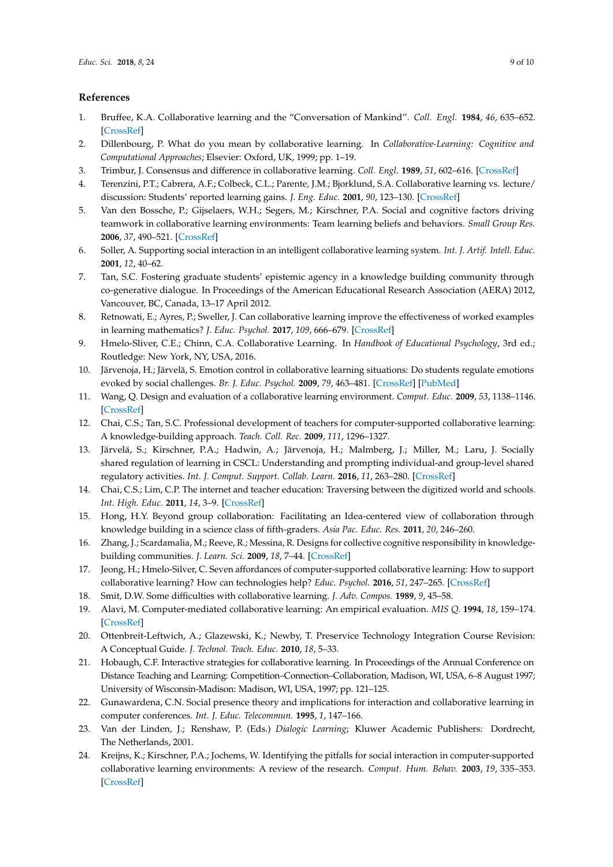## **References**

- <span id="page-8-0"></span>1. Bruffee, K.A. Collaborative learning and the "Conversation of Mankind". *Coll. Engl.* **1984**, *46*, 635–652. [\[CrossRef\]](http://dx.doi.org/10.2307/376924)
- <span id="page-8-1"></span>2. Dillenbourg, P. What do you mean by collaborative learning. In *Collaborative-Learning: Cognitive and Computational Approaches*; Elsevier: Oxford, UK, 1999; pp. 1–19.
- <span id="page-8-2"></span>3. Trimbur, J. Consensus and difference in collaborative learning. *Coll. Engl.* **1989**, *51*, 602–616. [\[CrossRef\]](http://dx.doi.org/10.2307/377955)
- <span id="page-8-3"></span>4. Terenzini, P.T.; Cabrera, A.F.; Colbeck, C.L.; Parente, J.M.; Bjorklund, S.A. Collaborative learning vs. lecture/ discussion: Students' reported learning gains. *J. Eng. Educ.* **2001**, *90*, 123–130. [\[CrossRef\]](http://dx.doi.org/10.1002/j.2168-9830.2001.tb00579.x)
- <span id="page-8-4"></span>5. Van den Bossche, P.; Gijselaers, W.H.; Segers, M.; Kirschner, P.A. Social and cognitive factors driving teamwork in collaborative learning environments: Team learning beliefs and behaviors. *Small Group Res.* **2006**, *37*, 490–521. [\[CrossRef\]](http://dx.doi.org/10.1177/1046496406292938)
- <span id="page-8-5"></span>6. Soller, A. Supporting social interaction in an intelligent collaborative learning system. *Int. J. Artif. Intell. Educ.* **2001**, *12*, 40–62.
- <span id="page-8-6"></span>7. Tan, S.C. Fostering graduate students' epistemic agency in a knowledge building community through co-generative dialogue. In Proceedings of the American Educational Research Association (AERA) 2012, Vancouver, BC, Canada, 13–17 April 2012.
- <span id="page-8-7"></span>8. Retnowati, E.; Ayres, P.; Sweller, J. Can collaborative learning improve the effectiveness of worked examples in learning mathematics? *J. Educ. Psychol.* **2017**, *109*, 666–679. [\[CrossRef\]](http://dx.doi.org/10.1037/edu0000167)
- <span id="page-8-8"></span>9. Hmelo-Sliver, C.E.; Chinn, C.A. Collaborative Learning. In *Handbook of Educational Psychology*, 3rd ed.; Routledge: New York, NY, USA, 2016.
- <span id="page-8-9"></span>10. Järvenoja, H.; Järvelä, S. Emotion control in collaborative learning situations: Do students regulate emotions evoked by social challenges. *Br. J. Educ. Psychol.* **2009**, *79*, 463–481. [\[CrossRef\]](http://dx.doi.org/10.1348/000709909X402811) [\[PubMed\]](http://www.ncbi.nlm.nih.gov/pubmed/19208290)
- <span id="page-8-10"></span>11. Wang, Q. Design and evaluation of a collaborative learning environment. *Comput. Educ.* **2009**, *53*, 1138–1146. [\[CrossRef\]](http://dx.doi.org/10.1016/j.compedu.2009.05.023)
- <span id="page-8-11"></span>12. Chai, C.S.; Tan, S.C. Professional development of teachers for computer-supported collaborative learning: A knowledge-building approach. *Teach. Coll. Rec.* **2009**, *111*, 1296–1327.
- <span id="page-8-12"></span>13. Järvelä, S.; Kirschner, P.A.; Hadwin, A.; Järvenoja, H.; Malmberg, J.; Miller, M.; Laru, J. Socially shared regulation of learning in CSCL: Understanding and prompting individual-and group-level shared regulatory activities. *Int. J. Comput. Support. Collab. Learn.* **2016**, *11*, 263–280. [\[CrossRef\]](http://dx.doi.org/10.1007/s11412-016-9238-2)
- <span id="page-8-13"></span>14. Chai, C.S.; Lim, C.P. The internet and teacher education: Traversing between the digitized world and schools. *Int. High. Educ.* **2011**, *14*, 3–9. [\[CrossRef\]](http://dx.doi.org/10.1016/j.iheduc.2010.04.003)
- 15. Hong, H.Y. Beyond group collaboration: Facilitating an Idea-centered view of collaboration through knowledge building in a science class of fifth-graders. *Asia Pac. Educ. Res.* **2011**, *20*, 246–260.
- 16. Zhang, J.; Scardamalia, M.; Reeve, R.; Messina, R. Designs for collective cognitive responsibility in knowledgebuilding communities. *J. Learn. Sci.* **2009**, *18*, 7–44. [\[CrossRef\]](http://dx.doi.org/10.1080/10508400802581676)
- <span id="page-8-14"></span>17. Jeong, H.; Hmelo-Silver, C. Seven affordances of computer-supported collaborative learning: How to support collaborative learning? How can technologies help? *Educ. Psychol.* **2016**, *51*, 247–265. [\[CrossRef\]](http://dx.doi.org/10.1080/00461520.2016.1158654)
- <span id="page-8-15"></span>18. Smit, D.W. Some difficulties with collaborative learning. *J. Adv. Compos.* **1989**, *9*, 45–58.
- <span id="page-8-21"></span>19. Alavi, M. Computer-mediated collaborative learning: An empirical evaluation. *MIS Q.* **1994**, *18*, 159–174. [\[CrossRef\]](http://dx.doi.org/10.2307/249763)
- <span id="page-8-16"></span>20. Ottenbreit-Leftwich, A.; Glazewski, K.; Newby, T. Preservice Technology Integration Course Revision: A Conceptual Guide. *J. Technol. Teach. Educ.* **2010**, *18*, 5–33.
- <span id="page-8-17"></span>21. Hobaugh, C.F. Interactive strategies for collaborative learning. In Proceedings of the Annual Conference on Distance Teaching and Learning: Competition–Connection–Collaboration, Madison, WI, USA, 6–8 August 1997; University of Wisconsin-Madison: Madison, WI, USA, 1997; pp. 121–125.
- <span id="page-8-18"></span>22. Gunawardena, C.N. Social presence theory and implications for interaction and collaborative learning in computer conferences. *Int. J. Educ. Telecommun.* **1995**, *1*, 147–166.
- <span id="page-8-19"></span>23. Van der Linden, J.; Renshaw, P. (Eds.) *Dialogic Learning*; Kluwer Academic Publishers: Dordrecht, The Netherlands, 2001.
- <span id="page-8-20"></span>24. Kreijns, K.; Kirschner, P.A.; Jochems, W. Identifying the pitfalls for social interaction in computer-supported collaborative learning environments: A review of the research. *Comput. Hum. Behav.* **2003**, *19*, 335–353. [\[CrossRef\]](http://dx.doi.org/10.1016/S0747-5632(02)00057-2)